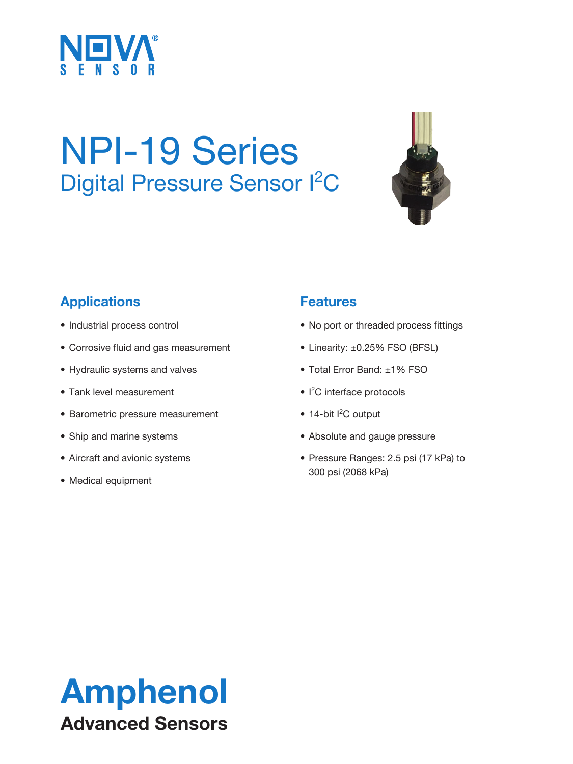

# NPI-19 Series Digital Pressure Sensor <sup>2</sup>C



### **Applications**

- Industrial process control
- Corrosive fluid and gas measurement
- Hydraulic systems and valves
- Tank level measurement
- Barometric pressure measurement
- Ship and marine systems
- Aircraft and avionic systems
- Medical equipment

#### **Features**

- No port or threaded process fittings
- Linearity: ±0.25% FSO (BFSL)
- Total Error Band: ±1% FSO
- I<sup>2</sup>C interface protocols
- 14-bit I<sup>2</sup>C output
- Absolute and gauge pressure
- Pressure Ranges: 2.5 psi (17 kPa) to 300 psi (2068 kPa)

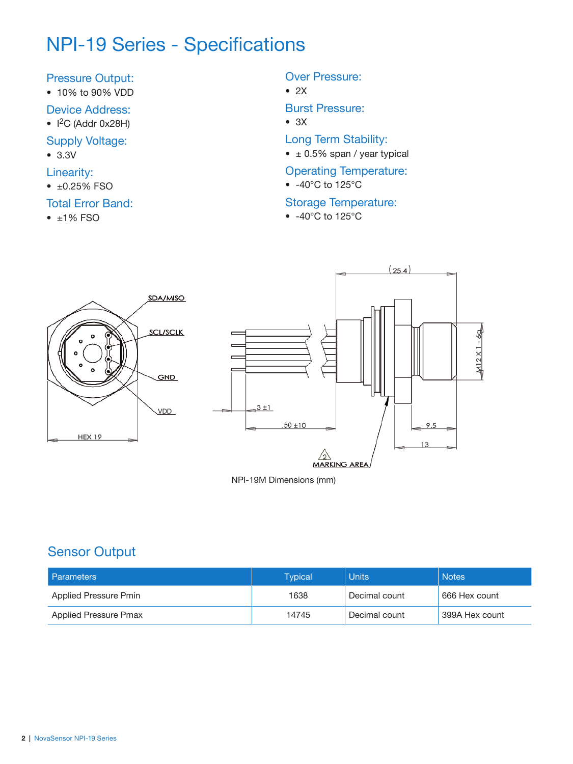# NPI-19 Series - Specifications

#### Pressure Output:

- 10% to 90% VDD
- Device Address:
- $\bullet$  I<sup>2</sup>C (Addr 0x28H)
- Supply Voltage:
- 3.3V
- Linearity:
- ±0.25% FSO

#### Total Error Band:

 $• 1\%$  FSO

#### Over Pressure:

 $\bullet$  2X

Burst Pressure:

- 3X
- Long Term Stability:
- $\bullet$   $\pm$  0.5% span / year typical

#### Operating Temperature:

• -40°C to 125°C

#### Storage Temperature:

• -40°C to 125°C



NPI-19M Dimensions (mm)

#### Sensor Output

| <b>Parameters</b>     | Tvpical | <b>Units</b>  | <b>Notes</b>   |
|-----------------------|---------|---------------|----------------|
| Applied Pressure Pmin | 1638    | Decimal count | 666 Hex count  |
| Applied Pressure Pmax | 14745   | Decimal count | 399A Hex count |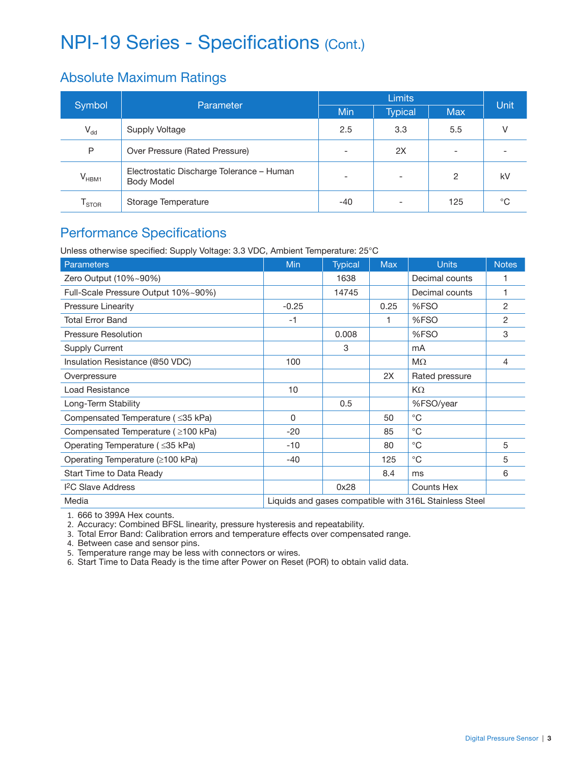# NPI-19 Series - Specifications (Cont.)

#### Absolute Maximum Ratings

| Symbol<br>Parameter          |                                                                | <b>Limits</b>            |                          |            | <b>Unit</b> |
|------------------------------|----------------------------------------------------------------|--------------------------|--------------------------|------------|-------------|
|                              |                                                                | Min                      | <b>Typical</b>           | <b>Max</b> |             |
| $V_{dd}$                     | Supply Voltage                                                 | 2.5                      | 3.3                      | 5.5        |             |
| P                            | Over Pressure (Rated Pressure)                                 |                          | 2X                       |            |             |
| $V_{HBM1}$                   | Electrostatic Discharge Tolerance - Human<br><b>Body Model</b> | $\overline{\phantom{0}}$ | $\overline{\phantom{a}}$ | 2          | kV          |
| $\mathsf{r}_{\textsf{stop}}$ | Storage Temperature                                            | -40                      | $\overline{\phantom{a}}$ | 125        | °C          |

### Performance Specifications

Unless otherwise specified: Supply Voltage: 3.3 VDC, Ambient Temperature: 25°C

| Parameters                               | <b>Min</b>                                             | <b>Typical</b> | <b>Max</b> | <b>Units</b>   | <b>Notes</b> |
|------------------------------------------|--------------------------------------------------------|----------------|------------|----------------|--------------|
| Zero Output (10%~90%)                    |                                                        | 1638           |            | Decimal counts | 1            |
| Full-Scale Pressure Output 10%~90%)      |                                                        | 14745          |            | Decimal counts | 1            |
| <b>Pressure Linearity</b>                | $-0.25$                                                |                | 0.25       | %FSO           | 2            |
| Total Error Band                         | $-1$                                                   |                |            | %FSO           | 2            |
| <b>Pressure Resolution</b>               |                                                        | 0.008          |            | %FSO           | 3            |
| Supply Current                           |                                                        | 3              |            | mA             |              |
| Insulation Resistance (@50 VDC)          | 100                                                    |                |            | $M\Omega$      | 4            |
| Overpressure                             |                                                        |                | 2X         | Rated pressure |              |
| Load Resistance                          | 10                                                     |                |            | KΩ             |              |
| Long-Term Stability                      |                                                        | 0.5            |            | %FSO/year      |              |
| Compensated Temperature ( $\leq$ 35 kPa) | 0                                                      |                | 50         | $^{\circ}$ C   |              |
| Compensated Temperature ( ≥100 kPa)      | $-20$                                                  |                | 85         | $^{\circ}$ C   |              |
| Operating Temperature ( ≤35 kPa)         | $-10$                                                  |                | 80         | $^{\circ}$ C   | 5            |
| Operating Temperature (≥100 kPa)         | $-40$                                                  |                | 125        | $^{\circ}$ C   | 5            |
| Start Time to Data Ready                 |                                                        |                | 8.4        | ms             | 6            |
| <b>I</b> <sup>2</sup> C Slave Address    |                                                        | 0x28           |            | Counts Hex     |              |
| Media                                    | Liquids and gases compatible with 316L Stainless Steel |                |            |                |              |

1. 666 to 399A Hex counts.

2. Accuracy: Combined BFSL linearity, pressure hysteresis and repeatability.

3. Total Error Band: Calibration errors and temperature effects over compensated range.

4. Between case and sensor pins.

5. Temperature range may be less with connectors or wires.

6. Start Time to Data Ready is the time after Power on Reset (POR) to obtain valid data.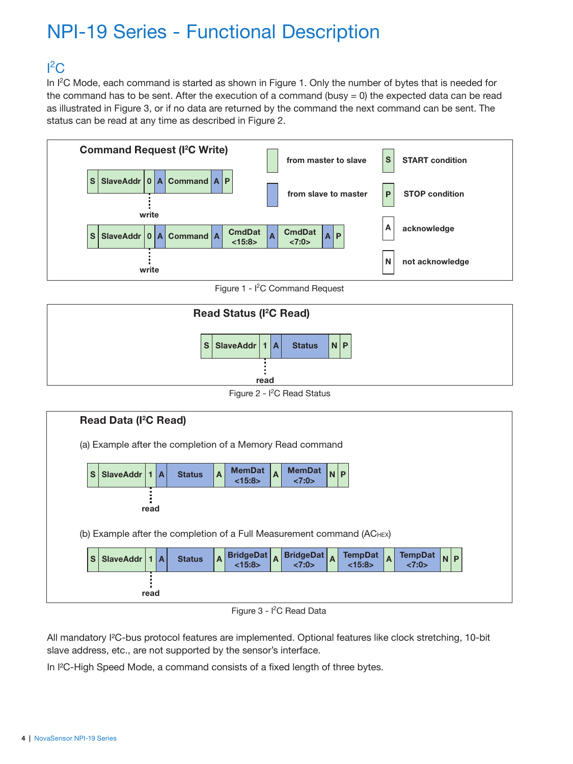# NPI-19 Series - Functional Description

# ${}^{12}$ C

In I<sup>2</sup>C Mode, each command is started as shown in Figure 1. Only the number of bytes that is needed for the command has to be sent. After the execution of a command (busy  $= 0$ ) the expected data can be read as illustrated in Figure 3, or if no data are returned by the command the next command can be sent. The status can be read at any time as described in Figure 2.



Figure  $1 1<sup>2</sup>C$  Command Request



Figure 2 - I<sup>2</sup>C Read Status



Figure 3 - I<sup>2</sup>C Read Data

All mandatory I²C-bus protocol features are implemented. Optional features like clock stretching, 10-bit slave address, etc., are not supported by the sensor's interface.

In I²C-High Speed Mode, a command consists of a fixed length of three bytes.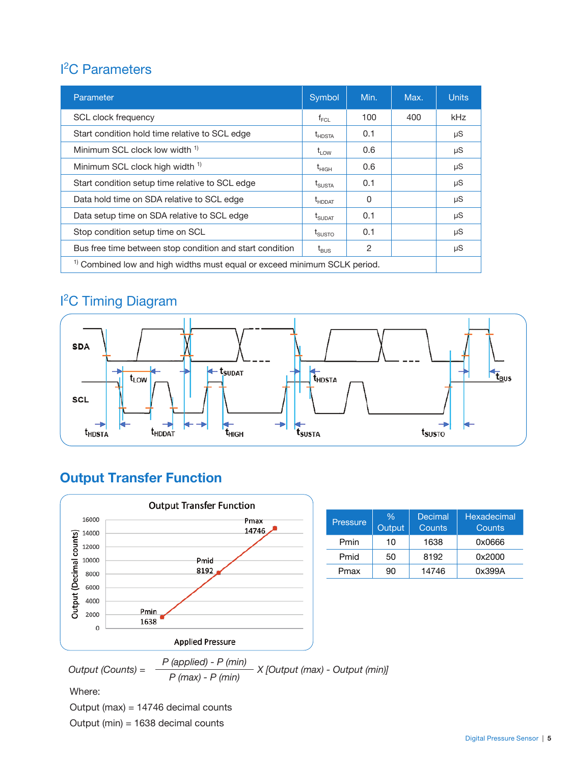## <sup>2</sup>C Parameters

| Parameter                                                                            |                               | Min. | Max. | <b>Units</b> |
|--------------------------------------------------------------------------------------|-------------------------------|------|------|--------------|
| SCL clock frequency                                                                  | $f_{\sf FCL}$                 | 100  | 400  | kHz          |
| Start condition hold time relative to SCL edge                                       | $t_{HDSTA}$                   | 0.1  |      | μS           |
| Minimum SCL clock low width <sup>1)</sup>                                            | $t_{LOW}$                     | 0.6  |      | μS           |
| Minimum SCL clock high width <sup>1)</sup>                                           | $\mathsf{t}_{\mathsf{HIGH}}$  | 0.6  |      | μS           |
| Start condition setup time relative to SCL edge                                      | $\rm t_{SUSTA}$               | 0.1  |      | μS           |
| Data hold time on SDA relative to SCL edge                                           | $\mathrm{t}_{\mathsf{HDDAT}}$ | 0    |      | μS           |
| Data setup time on SDA relative to SCL edge                                          | $\mathrm{t}_{\text{SUDAT}}$   | 0.1  |      | μS           |
| Stop condition setup time on SCL                                                     | $\rm t_{SUSTO}$               | 0.1  |      | μS           |
| Bus free time between stop condition and start condition                             | $t_{\text{BUS}}$              | 2    |      | μS           |
| <sup>1)</sup> Combined low and high widths must equal or exceed minimum SCLK period. |                               |      |      |              |

### I 2 C Timing Diagram



### **Output Transfer Function**



| Pressure | $\frac{0}{6}$<br><b>Output</b> | Decimal<br>Counts | Hexadecimal<br>Counts |
|----------|--------------------------------|-------------------|-----------------------|
| Pmin     | 10                             | 1638              | 0x0666                |
| Pmid     | 50                             | 8192              | 0x2000                |
| Pmax     | 90                             | 14746             | 0x399A                |

Where:

Output (max) = 14746 decimal counts

Output (min) = 1638 decimal counts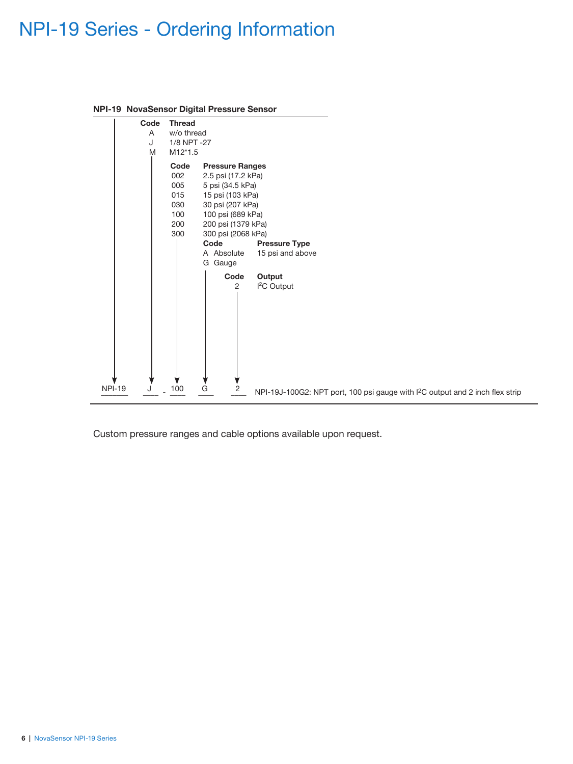# NPI-19 Series - Ordering Information



#### **NPI-19 NovaSensor Digital Pressure Sensor**

Custom pressure ranges and cable options available upon request.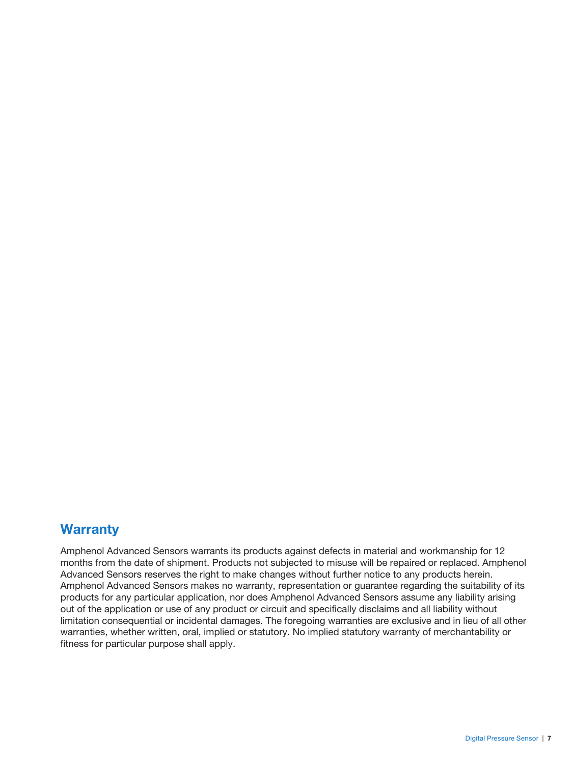#### **Warranty**

Amphenol Advanced Sensors warrants its products against defects in material and workmanship for 12 months from the date of shipment. Products not subjected to misuse will be repaired or replaced. Amphenol Advanced Sensors reserves the right to make changes without further notice to any products herein. Amphenol Advanced Sensors makes no warranty, representation or guarantee regarding the suitability of its products for any particular application, nor does Amphenol Advanced Sensors assume any liability arising out of the application or use of any product or circuit and specifically disclaims and all liability without limitation consequential or incidental damages. The foregoing warranties are exclusive and in lieu of all other warranties, whether written, oral, implied or statutory. No implied statutory warranty of merchantability or fitness for particular purpose shall apply.